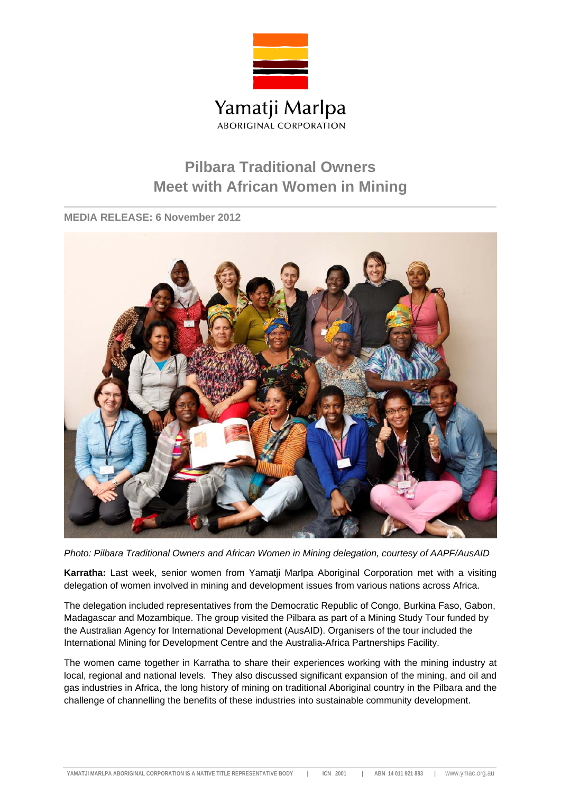

## **Pilbara Traditional Owners Meet with African Women in Mining**

**MEDIA RELEASE: 6 November 2012** 



*Photo: Pilbara Traditional Owners and African Women in Mining delegation, courtesy of AAPF/AusAID*

**Karratha:** Last week, senior women from Yamatji Marlpa Aboriginal Corporation met with a visiting delegation of women involved in mining and development issues from various nations across Africa.

The delegation included representatives from the Democratic Republic of Congo, Burkina Faso, Gabon, Madagascar and Mozambique. The group visited the Pilbara as part of a Mining Study Tour funded by the Australian Agency for International Development (AusAID). Organisers of the tour included the International Mining for Development Centre and the Australia-Africa Partnerships Facility.

The women came together in Karratha to share their experiences working with the mining industry at local, regional and national levels. They also discussed significant expansion of the mining, and oil and gas industries in Africa, the long history of mining on traditional Aboriginal country in the Pilbara and the challenge of channelling the benefits of these industries into sustainable community development.